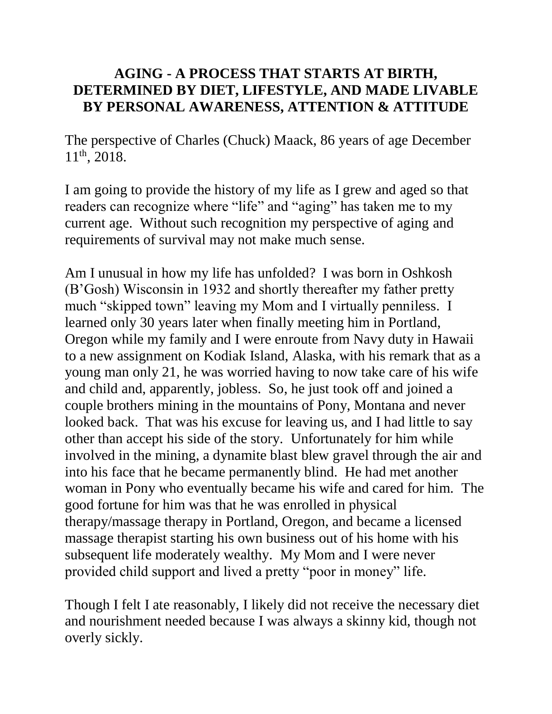## **AGING - A PROCESS THAT STARTS AT BIRTH, DETERMINED BY DIET, LIFESTYLE, AND MADE LIVABLE BY PERSONAL AWARENESS, ATTENTION & ATTITUDE**

The perspective of Charles (Chuck) Maack, 86 years of age December 11th, 2018.

I am going to provide the history of my life as I grew and aged so that readers can recognize where "life" and "aging" has taken me to my current age. Without such recognition my perspective of aging and requirements of survival may not make much sense.

Am I unusual in how my life has unfolded? I was born in Oshkosh (B'Gosh) Wisconsin in 1932 and shortly thereafter my father pretty much "skipped town" leaving my Mom and I virtually penniless. I learned only 30 years later when finally meeting him in Portland, Oregon while my family and I were enroute from Navy duty in Hawaii to a new assignment on Kodiak Island, Alaska, with his remark that as a young man only 21, he was worried having to now take care of his wife and child and, apparently, jobless. So, he just took off and joined a couple brothers mining in the mountains of Pony, Montana and never looked back. That was his excuse for leaving us, and I had little to say other than accept his side of the story. Unfortunately for him while involved in the mining, a dynamite blast blew gravel through the air and into his face that he became permanently blind. He had met another woman in Pony who eventually became his wife and cared for him. The good fortune for him was that he was enrolled in physical therapy/massage therapy in Portland, Oregon, and became a licensed massage therapist starting his own business out of his home with his subsequent life moderately wealthy. My Mom and I were never provided child support and lived a pretty "poor in money" life.

Though I felt I ate reasonably, I likely did not receive the necessary diet and nourishment needed because I was always a skinny kid, though not overly sickly.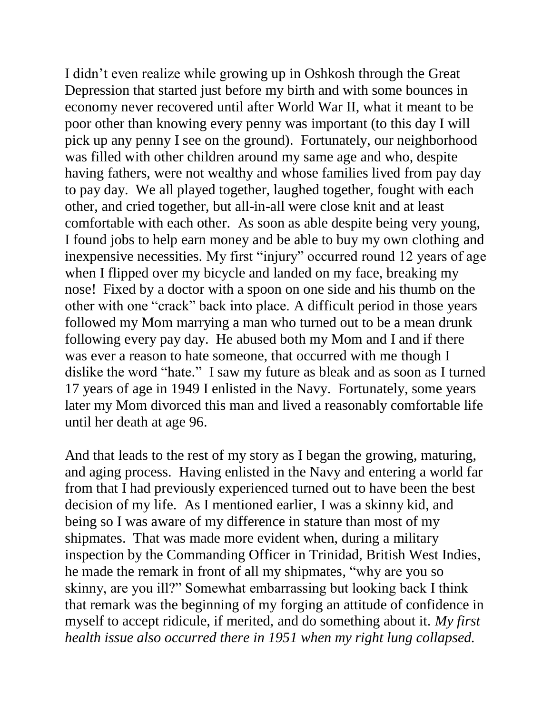I didn't even realize while growing up in Oshkosh through the Great Depression that started just before my birth and with some bounces in economy never recovered until after World War II, what it meant to be poor other than knowing every penny was important (to this day I will pick up any penny I see on the ground). Fortunately, our neighborhood was filled with other children around my same age and who, despite having fathers, were not wealthy and whose families lived from pay day to pay day. We all played together, laughed together, fought with each other, and cried together, but all-in-all were close knit and at least comfortable with each other. As soon as able despite being very young, I found jobs to help earn money and be able to buy my own clothing and inexpensive necessities. My first "injury" occurred round 12 years of age when I flipped over my bicycle and landed on my face, breaking my nose! Fixed by a doctor with a spoon on one side and his thumb on the other with one "crack" back into place. A difficult period in those years followed my Mom marrying a man who turned out to be a mean drunk following every pay day. He abused both my Mom and I and if there was ever a reason to hate someone, that occurred with me though I dislike the word "hate." I saw my future as bleak and as soon as I turned 17 years of age in 1949 I enlisted in the Navy. Fortunately, some years later my Mom divorced this man and lived a reasonably comfortable life until her death at age 96.

And that leads to the rest of my story as I began the growing, maturing, and aging process. Having enlisted in the Navy and entering a world far from that I had previously experienced turned out to have been the best decision of my life. As I mentioned earlier, I was a skinny kid, and being so I was aware of my difference in stature than most of my shipmates. That was made more evident when, during a military inspection by the Commanding Officer in Trinidad, British West Indies, he made the remark in front of all my shipmates, "why are you so skinny, are you ill?" Somewhat embarrassing but looking back I think that remark was the beginning of my forging an attitude of confidence in myself to accept ridicule, if merited, and do something about it. *My first health issue also occurred there in 1951 when my right lung collapsed.*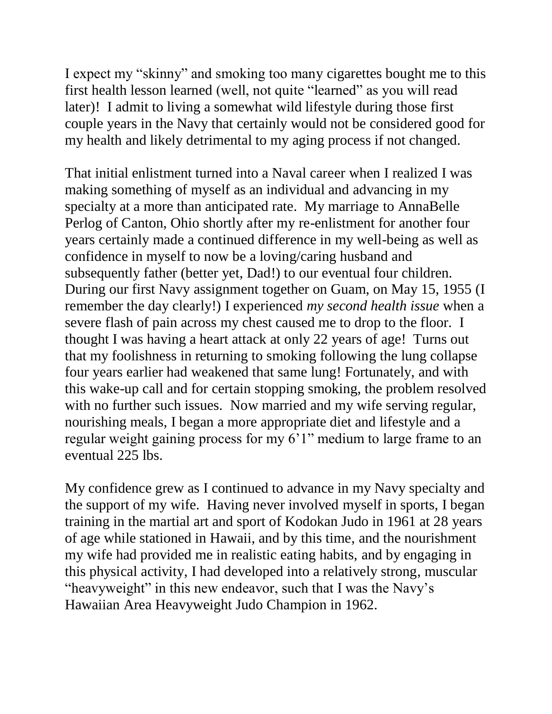I expect my "skinny" and smoking too many cigarettes bought me to this first health lesson learned (well, not quite "learned" as you will read later)! I admit to living a somewhat wild lifestyle during those first couple years in the Navy that certainly would not be considered good for my health and likely detrimental to my aging process if not changed.

That initial enlistment turned into a Naval career when I realized I was making something of myself as an individual and advancing in my specialty at a more than anticipated rate. My marriage to AnnaBelle Perlog of Canton, Ohio shortly after my re-enlistment for another four years certainly made a continued difference in my well-being as well as confidence in myself to now be a loving/caring husband and subsequently father (better yet, Dad!) to our eventual four children. During our first Navy assignment together on Guam, on May 15, 1955 (I remember the day clearly!) I experienced *my second health issue* when a severe flash of pain across my chest caused me to drop to the floor. I thought I was having a heart attack at only 22 years of age! Turns out that my foolishness in returning to smoking following the lung collapse four years earlier had weakened that same lung! Fortunately, and with this wake-up call and for certain stopping smoking, the problem resolved with no further such issues. Now married and my wife serving regular, nourishing meals, I began a more appropriate diet and lifestyle and a regular weight gaining process for my 6'1" medium to large frame to an eventual 225 lbs.

My confidence grew as I continued to advance in my Navy specialty and the support of my wife. Having never involved myself in sports, I began training in the martial art and sport of Kodokan Judo in 1961 at 28 years of age while stationed in Hawaii, and by this time, and the nourishment my wife had provided me in realistic eating habits, and by engaging in this physical activity, I had developed into a relatively strong, muscular "heavyweight" in this new endeavor, such that I was the Navy's Hawaiian Area Heavyweight Judo Champion in 1962.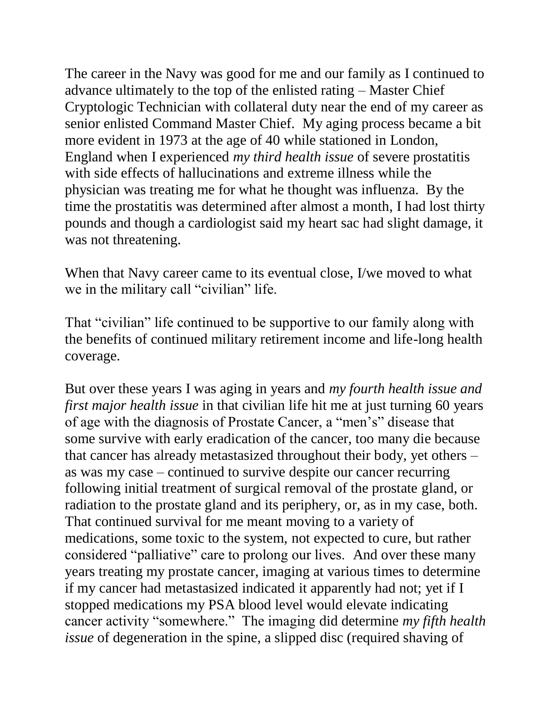The career in the Navy was good for me and our family as I continued to advance ultimately to the top of the enlisted rating – Master Chief Cryptologic Technician with collateral duty near the end of my career as senior enlisted Command Master Chief. My aging process became a bit more evident in 1973 at the age of 40 while stationed in London, England when I experienced *my third health issue* of severe prostatitis with side effects of hallucinations and extreme illness while the physician was treating me for what he thought was influenza. By the time the prostatitis was determined after almost a month, I had lost thirty pounds and though a cardiologist said my heart sac had slight damage, it was not threatening.

When that Navy career came to its eventual close, I/we moved to what we in the military call "civilian" life.

That "civilian" life continued to be supportive to our family along with the benefits of continued military retirement income and life-long health coverage.

But over these years I was aging in years and *my fourth health issue and first major health issue* in that civilian life hit me at just turning 60 years of age with the diagnosis of Prostate Cancer, a "men's" disease that some survive with early eradication of the cancer, too many die because that cancer has already metastasized throughout their body, yet others – as was my case – continued to survive despite our cancer recurring following initial treatment of surgical removal of the prostate gland, or radiation to the prostate gland and its periphery, or, as in my case, both. That continued survival for me meant moving to a variety of medications, some toxic to the system, not expected to cure, but rather considered "palliative" care to prolong our lives. And over these many years treating my prostate cancer, imaging at various times to determine if my cancer had metastasized indicated it apparently had not; yet if I stopped medications my PSA blood level would elevate indicating cancer activity "somewhere." The imaging did determine *my fifth health issue* of degeneration in the spine, a slipped disc (required shaving of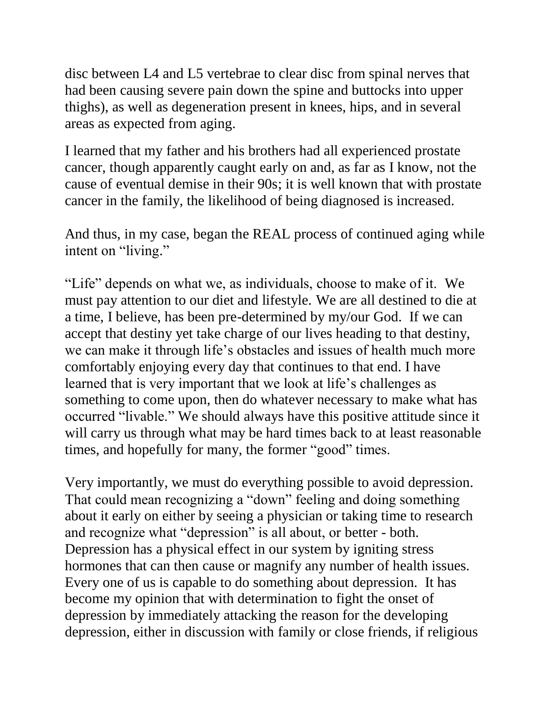disc between L4 and L5 vertebrae to clear disc from spinal nerves that had been causing severe pain down the spine and buttocks into upper thighs), as well as degeneration present in knees, hips, and in several areas as expected from aging.

I learned that my father and his brothers had all experienced prostate cancer, though apparently caught early on and, as far as I know, not the cause of eventual demise in their 90s; it is well known that with prostate cancer in the family, the likelihood of being diagnosed is increased.

And thus, in my case, began the REAL process of continued aging while intent on "living."

"Life" depends on what we, as individuals, choose to make of it. We must pay attention to our diet and lifestyle. We are all destined to die at a time, I believe, has been pre-determined by my/our God. If we can accept that destiny yet take charge of our lives heading to that destiny, we can make it through life's obstacles and issues of health much more comfortably enjoying every day that continues to that end. I have learned that is very important that we look at life's challenges as something to come upon, then do whatever necessary to make what has occurred "livable." We should always have this positive attitude since it will carry us through what may be hard times back to at least reasonable times, and hopefully for many, the former "good" times.

Very importantly, we must do everything possible to avoid depression. That could mean recognizing a "down" feeling and doing something about it early on either by seeing a physician or taking time to research and recognize what "depression" is all about, or better - both. Depression has a physical effect in our system by igniting stress hormones that can then cause or magnify any number of health issues. Every one of us is capable to do something about depression. It has become my opinion that with determination to fight the onset of depression by immediately attacking the reason for the developing depression, either in discussion with family or close friends, if religious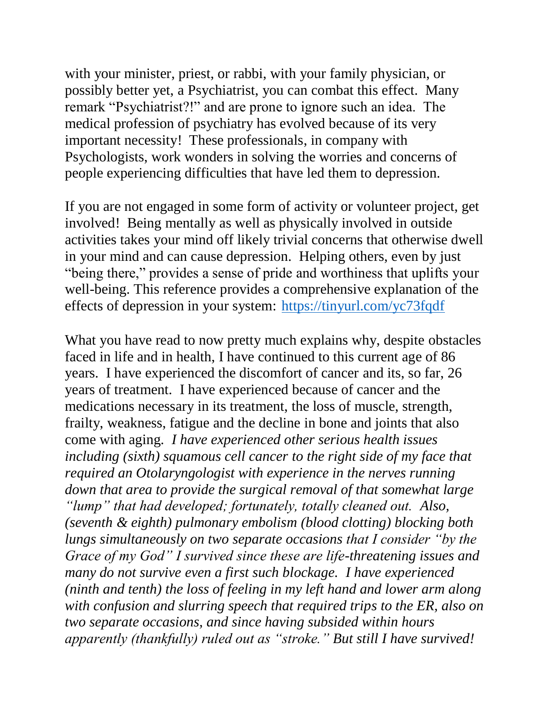with your minister, priest, or rabbi, with your family physician, or possibly better yet, a Psychiatrist, you can combat this effect. Many remark "Psychiatrist?!" and are prone to ignore such an idea. The medical profession of psychiatry has evolved because of its very important necessity! These professionals, in company with Psychologists, work wonders in solving the worries and concerns of people experiencing difficulties that have led them to depression.

If you are not engaged in some form of activity or volunteer project, get involved! Being mentally as well as physically involved in outside activities takes your mind off likely trivial concerns that otherwise dwell in your mind and can cause depression. Helping others, even by just "being there," provides a sense of pride and worthiness that uplifts your well-being. This reference provides a comprehensive explanation of the effects of depression in your system: <https://tinyurl.com/yc73fqdf>

What you have read to now pretty much explains why, despite obstacles faced in life and in health, I have continued to this current age of 86 years. I have experienced the discomfort of cancer and its, so far, 26 years of treatment. I have experienced because of cancer and the medications necessary in its treatment, the loss of muscle, strength, frailty, weakness, fatigue and the decline in bone and joints that also come with aging*. I have experienced other serious health issues including (sixth) squamous cell cancer to the right side of my face that required an Otolaryngologist with experience in the nerves running down that area to provide the surgical removal of that somewhat large "lump" that had developed; fortunately, totally cleaned out. Also, (seventh & eighth) pulmonary embolism (blood clotting) blocking both lungs simultaneously on two separate occasions that I consider "by the Grace of my God" I survived since these are life-threatening issues and many do not survive even a first such blockage. I have experienced (ninth and tenth) the loss of feeling in my left hand and lower arm along with confusion and slurring speech that required trips to the ER, also on two separate occasions, and since having subsided within hours apparently (thankfully) ruled out as "stroke." But still I have survived!*